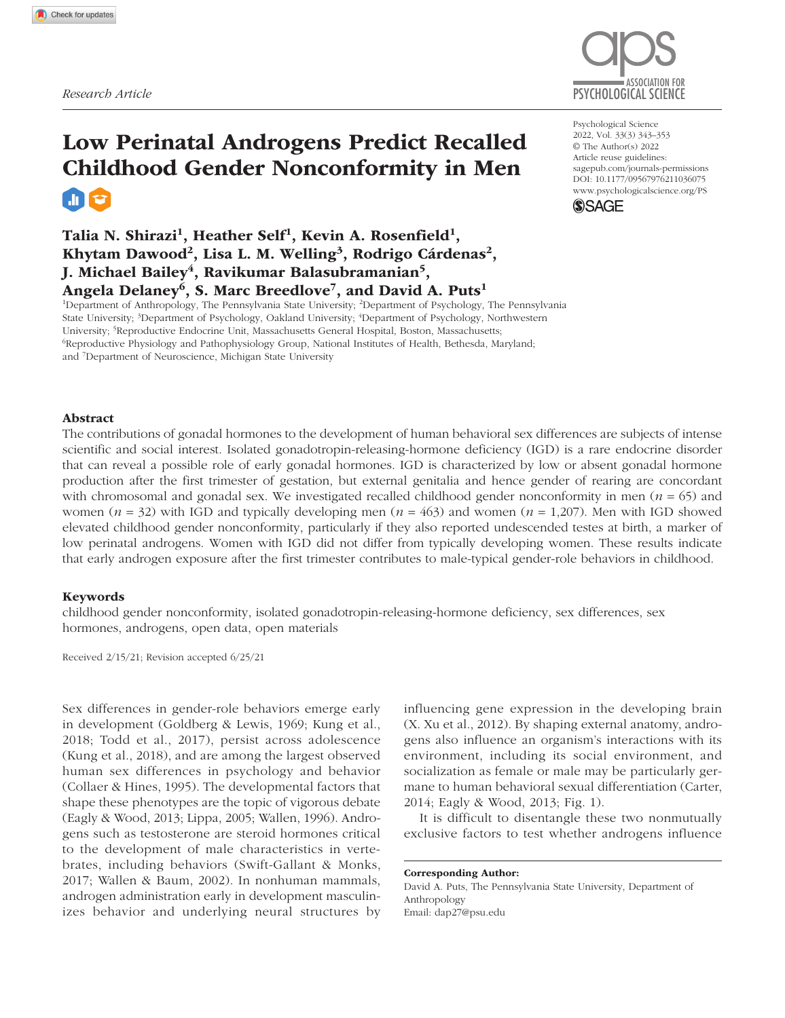

# Low Perinatal Androgens Predict Recalled Childhood Gender Nonconformity in Men **alt**

# Talia N. Shirazi<sup>1</sup>, Heather Self<sup>1</sup>, Kevin A. Rosenfield<sup>1</sup>, Khytam Dawood<sup>2</sup>, Lisa L. M. Welling<sup>3</sup>, Rodrigo Cárdenas<sup>2</sup>, J. Michael Bailey<sup>4</sup>, Ravikumar Balasubramanian<sup>5</sup>, Angela Delaney<sup>6</sup>, S. Marc Breedlove<sup>7</sup>, and David A. Puts<sup>1</sup>

<sup>1</sup>Department of Anthropology, The Pennsylvania State University; <sup>2</sup>Department of Psychology, The Pennsylvania State University; <sup>3</sup>Department of Psychology, Oakland University; <sup>4</sup>Department of Psychology, Northwestern University; <sup>5</sup>Reproductive Endocrine Unit, Massachusetts General Hospital, Boston, Massachusetts;<br><sup>6</sup>Reproductive Physiology and Pathophysiology Group, National Institutes of Health, Bethesda, Ma <sup>6</sup>Reproductive Physiology and Pathophysiology Group, National Institutes of Health, Bethesda, Maryland; and 7 Department of Neuroscience, Michigan State University

## Abstract

The contributions of gonadal hormones to the development of human behavioral sex differences are subjects of intense scientific and social interest. Isolated gonadotropin-releasing-hormone deficiency (IGD) is a rare endocrine disorder that can reveal a possible role of early gonadal hormones. IGD is characterized by low or absent gonadal hormone production after the first trimester of gestation, but external genitalia and hence gender of rearing are concordant with chromosomal and gonadal sex. We investigated recalled childhood gender nonconformity in men ( $n = 65$ ) and women (*n* = 32) with IGD and typically developing men (*n* = 463) and women (*n* = 1,207). Men with IGD showed elevated childhood gender nonconformity, particularly if they also reported undescended testes at birth, a marker of low perinatal androgens. Women with IGD did not differ from typically developing women. These results indicate that early androgen exposure after the first trimester contributes to male-typical gender-role behaviors in childhood.

#### Keywords

childhood gender nonconformity, isolated gonadotropin-releasing-hormone deficiency, sex differences, sex hormones, androgens, open data, open materials

Received 2/15/21; Revision accepted 6/25/21

Sex differences in gender-role behaviors emerge early in development (Goldberg & Lewis, 1969; Kung et al., 2018; Todd et al., 2017), persist across adolescence (Kung et al., 2018), and are among the largest observed human sex differences in psychology and behavior (Collaer & Hines, 1995). The developmental factors that shape these phenotypes are the topic of vigorous debate (Eagly & Wood, 2013; Lippa, 2005; Wallen, 1996). Androgens such as testosterone are steroid hormones critical to the development of male characteristics in vertebrates, including behaviors (Swift-Gallant & Monks, 2017; Wallen & Baum, 2002). In nonhuman mammals, androgen administration early in development masculinizes behavior and underlying neural structures by

influencing gene expression in the developing brain (X. Xu et al., 2012). By shaping external anatomy, androgens also influence an organism's interactions with its environment, including its social environment, and socialization as female or male may be particularly germane to human behavioral sexual differentiation (Carter, 2014; Eagly & Wood, 2013; Fig. 1).

It is difficult to disentangle these two nonmutually exclusive factors to test whether androgens influence

Corresponding Author: David A. Puts, The Pennsylvania State University, Department of Anthropology Email: [dap27@psu.edu](mailto:dap27@psu.edu)

https://doi.org/10.1177/09567976211036075 DOI: 10.1177/09567976211036075 Psychological Science 2022, Vol. 33(3) 343–353 © The Author(s) 2022 Article reuse guidelines: [sagepub.com/journals-permissions](https://us.sagepub.com/en-us/journals-permissions) [www.psychologicalscience.org/PS](http://www.psychologicalscience.org/ps)

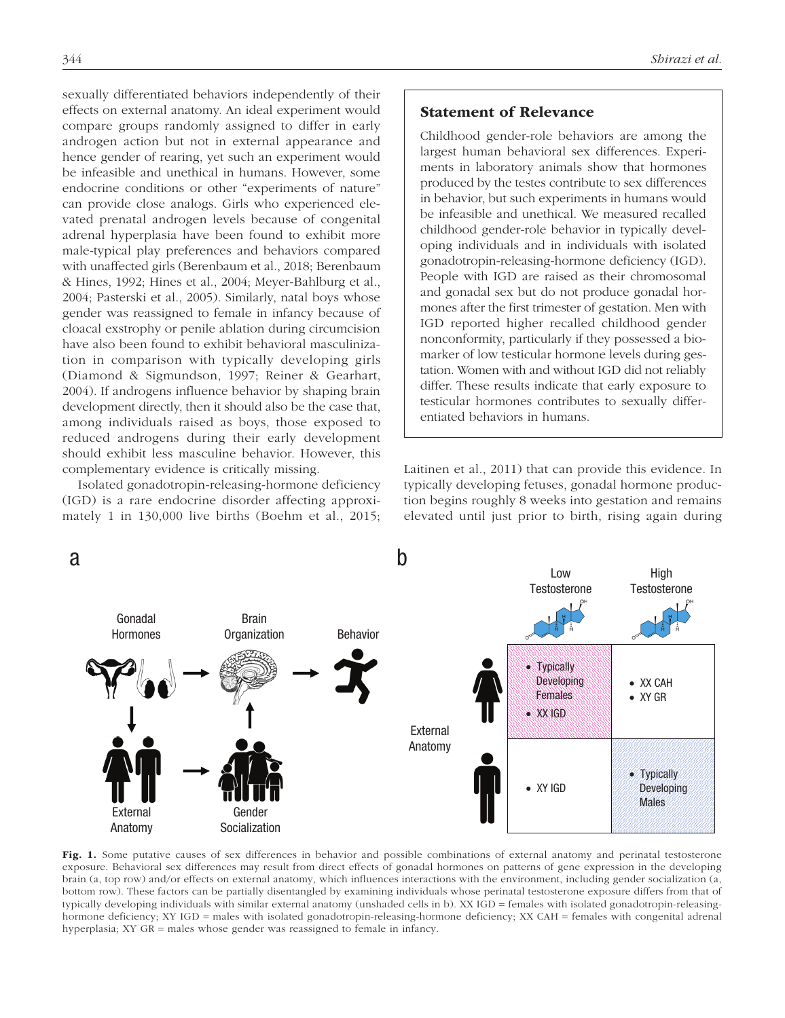sexually differentiated behaviors independently of their effects on external anatomy. An ideal experiment would compare groups randomly assigned to differ in early androgen action but not in external appearance and hence gender of rearing, yet such an experiment would be infeasible and unethical in humans. However, some endocrine conditions or other "experiments of nature" can provide close analogs. Girls who experienced elevated prenatal androgen levels because of congenital adrenal hyperplasia have been found to exhibit more male-typical play preferences and behaviors compared with unaffected girls (Berenbaum et al., 2018; Berenbaum & Hines, 1992; Hines et al., 2004; Meyer-Bahlburg et al., 2004; Pasterski et al., 2005). Similarly, natal boys whose gender was reassigned to female in infancy because of cloacal exstrophy or penile ablation during circumcision have also been found to exhibit behavioral masculinization in comparison with typically developing girls (Diamond & Sigmundson, 1997; Reiner & Gearhart, 2004). If androgens influence behavior by shaping brain development directly, then it should also be the case that, among individuals raised as boys, those exposed to reduced androgens during their early development should exhibit less masculine behavior. However, this complementary evidence is critically missing.

Isolated gonadotropin-releasing-hormone deficiency (IGD) is a rare endocrine disorder affecting approximately 1 in 130,000 live births (Boehm et al., 2015;

# Statement of Relevance

Childhood gender-role behaviors are among the largest human behavioral sex differences. Experiments in laboratory animals show that hormones produced by the testes contribute to sex differences in behavior, but such experiments in humans would be infeasible and unethical. We measured recalled childhood gender-role behavior in typically developing individuals and in individuals with isolated gonadotropin-releasing-hormone deficiency (IGD). People with IGD are raised as their chromosomal and gonadal sex but do not produce gonadal hormones after the first trimester of gestation. Men with IGD reported higher recalled childhood gender nonconformity, particularly if they possessed a biomarker of low testicular hormone levels during gestation. Women with and without IGD did not reliably differ. These results indicate that early exposure to testicular hormones contributes to sexually differentiated behaviors in humans.

Laitinen et al., 2011) that can provide this evidence. In typically developing fetuses, gonadal hormone production begins roughly 8 weeks into gestation and remains elevated until just prior to birth, rising again during



Fig. 1. Some putative causes of sex differences in behavior and possible combinations of external anatomy and perinatal testosterone exposure. Behavioral sex differences may result from direct effects of gonadal hormones on patterns of gene expression in the developing brain (a, top row) and/or effects on external anatomy, which influences interactions with the environment, including gender socialization (a, bottom row). These factors can be partially disentangled by examining individuals whose perinatal testosterone exposure differs from that of typically developing individuals with similar external anatomy (unshaded cells in b). XX IGD = females with isolated gonadotropin-releasinghormone deficiency; XY IGD = males with isolated gonadotropin-releasing-hormone deficiency; XX CAH = females with congenital adrenal hyperplasia; XY GR = males whose gender was reassigned to female in infancy.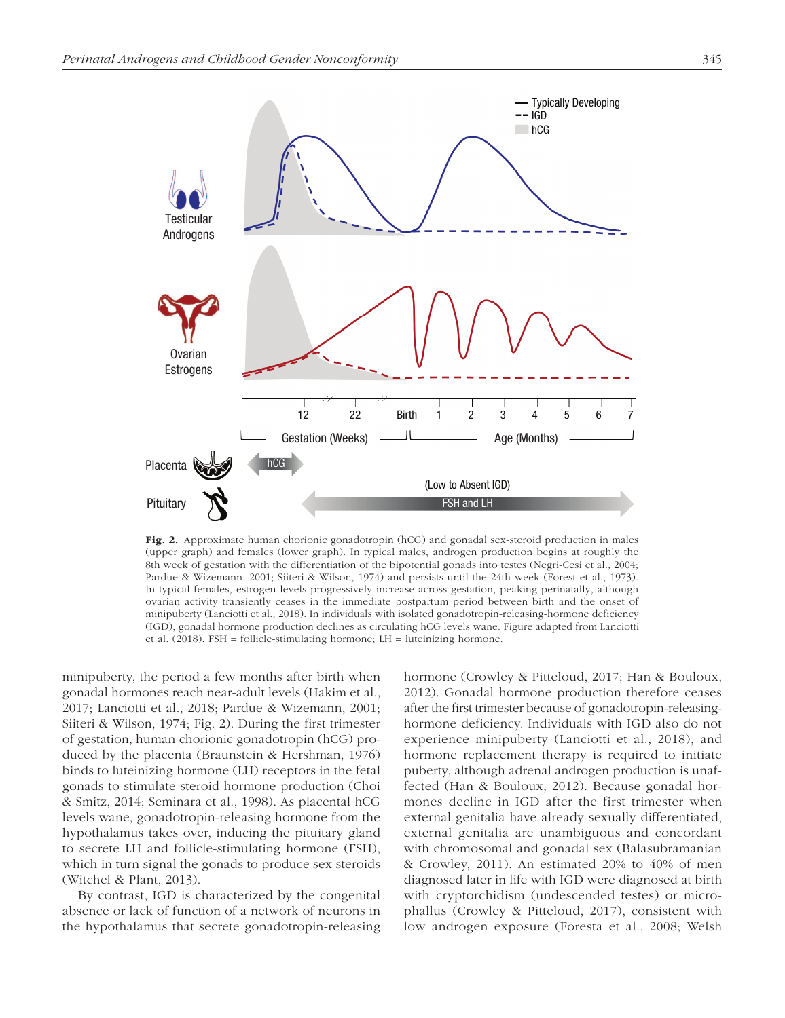

Fig. 2. Approximate human chorionic gonadotropin (hCG) and gonadal sex-steroid production in males (upper graph) and females (lower graph). In typical males, androgen production begins at roughly the 8th week of gestation with the differentiation of the bipotential gonads into testes (Negri-Cesi et al., 2004; Pardue & Wizemann, 2001; Siiteri & Wilson, 1974) and persists until the 24th week (Forest et al., 1973). In typical females, estrogen levels progressively increase across gestation, peaking perinatally, although ovarian activity transiently ceases in the immediate postpartum period between birth and the onset of minipuberty (Lanciotti et al., 2018). In individuals with isolated gonadotropin-releasing-hormone deficiency (IGD), gonadal hormone production declines as circulating hCG levels wane. Figure adapted from Lanciotti et al. (2018). FSH = follicle-stimulating hormone; LH = luteinizing hormone.

minipuberty, the period a few months after birth when gonadal hormones reach near-adult levels (Hakim et al., 2017; Lanciotti et al., 2018; Pardue & Wizemann, 2001; Siiteri & Wilson, 1974; Fig. 2). During the first trimester of gestation, human chorionic gonadotropin (hCG) produced by the placenta (Braunstein & Hershman, 1976) binds to luteinizing hormone (LH) receptors in the fetal gonads to stimulate steroid hormone production (Choi & Smitz, 2014; Seminara et al., 1998). As placental hCG levels wane, gonadotropin-releasing hormone from the hypothalamus takes over, inducing the pituitary gland to secrete LH and follicle-stimulating hormone (FSH), which in turn signal the gonads to produce sex steroids (Witchel & Plant, 2013).

By contrast, IGD is characterized by the congenital absence or lack of function of a network of neurons in the hypothalamus that secrete gonadotropin-releasing hormone (Crowley & Pitteloud, 2017; Han & Bouloux, 2012). Gonadal hormone production therefore ceases after the first trimester because of gonadotropin-releasinghormone deficiency. Individuals with IGD also do not experience minipuberty (Lanciotti et al., 2018), and hormone replacement therapy is required to initiate puberty, although adrenal androgen production is unaffected (Han & Bouloux, 2012). Because gonadal hormones decline in IGD after the first trimester when external genitalia have already sexually differentiated, external genitalia are unambiguous and concordant with chromosomal and gonadal sex (Balasubramanian & Crowley, 2011). An estimated 20% to 40% of men diagnosed later in life with IGD were diagnosed at birth with cryptorchidism (undescended testes) or microphallus (Crowley & Pitteloud, 2017), consistent with low androgen exposure (Foresta et al., 2008; Welsh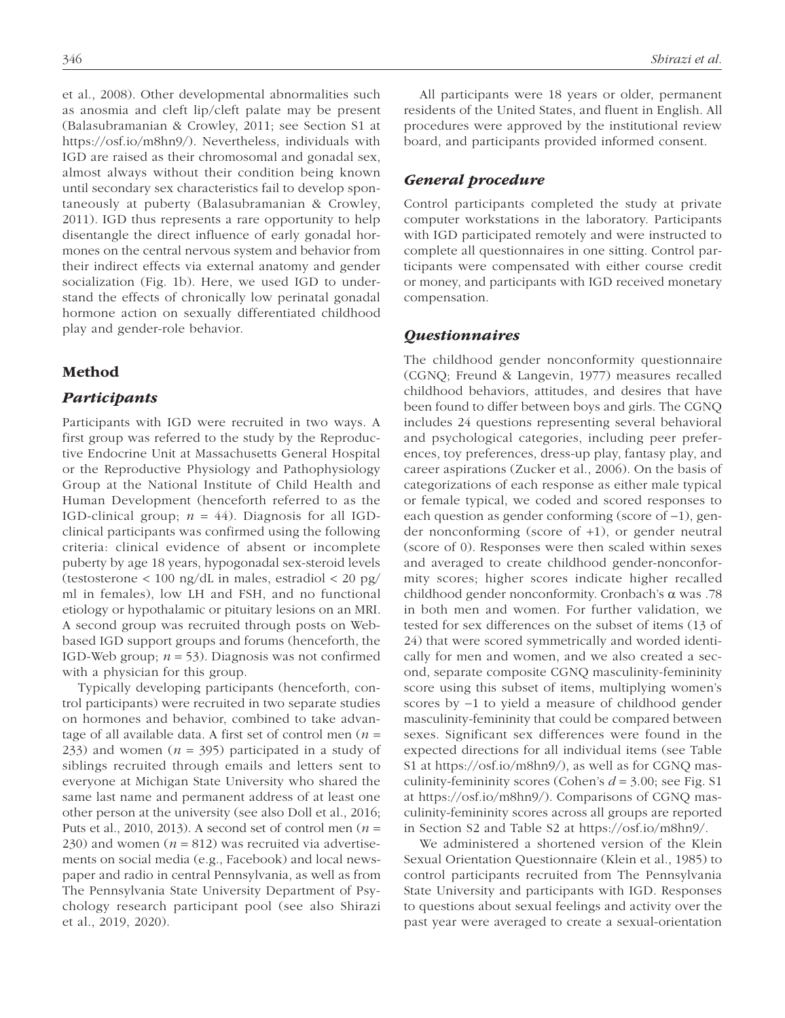et al., 2008). Other developmental abnormalities such as anosmia and cleft lip/cleft palate may be present (Balasubramanian & Crowley, 2011; see Section S1 at [ht](https://osf.io/a9mhb/)tps://osf.io/m8hn9/). Nevertheless, individuals with IGD are raised as their chromosomal and gonadal sex, almost always without their condition being known until secondary sex characteristics fail to develop spontaneously at puberty (Balasubramanian & Crowley, 2011). IGD thus represents a rare opportunity to help disentangle the direct influence of early gonadal hormones on the central nervous system and behavior from their indirect effects via external anatomy and gender socialization (Fig. 1b). Here, we used IGD to understand the effects of chronically low perinatal gonadal hormone action on sexually differentiated childhood play and gender-role behavior.

## Method

## *Participants*

Participants with IGD were recruited in two ways. A first group was referred to the study by the Reproductive Endocrine Unit at Massachusetts General Hospital or the Reproductive Physiology and Pathophysiology Group at the National Institute of Child Health and Human Development (henceforth referred to as the IGD-clinical group;  $n = 44$ ). Diagnosis for all IGDclinical participants was confirmed using the following criteria: clinical evidence of absent or incomplete puberty by age 18 years, hypogonadal sex-steroid levels (testosterone  $\langle 100 \text{ ng/dL} \rangle$  in males, estradiol  $\langle 20 \text{ pg/} \rangle$ ml in females), low LH and FSH, and no functional etiology or hypothalamic or pituitary lesions on an MRI. A second group was recruited through posts on Webbased IGD support groups and forums (henceforth, the IGD-Web group;  $n = 53$ ). Diagnosis was not confirmed with a physician for this group.

Typically developing participants (henceforth, control participants) were recruited in two separate studies on hormones and behavior, combined to take advantage of all available data. A first set of control men (*n* = 233) and women  $(n = 395)$  participated in a study of siblings recruited through emails and letters sent to everyone at Michigan State University who shared the same last name and permanent address of at least one other person at the university (see also Doll et al., 2016; Puts et al., 2010, 2013). A second set of control men (*n* = 230) and women  $(n = 812)$  was recruited via advertisements on social media (e.g., Facebook) and local newspaper and radio in central Pennsylvania, as well as from The Pennsylvania State University Department of Psychology research participant pool (see also Shirazi et al., 2019, 2020).

All participants were 18 years or older, permanent residents of the United States, and fluent in English. All procedures were approved by the institutional review board, and participants provided informed consent.

## *General procedure*

Control participants completed the study at private computer workstations in the laboratory. Participants with IGD participated remotely and were instructed to complete all questionnaires in one sitting. Control participants were compensated with either course credit or money, and participants with IGD received monetary compensation.

## *Questionnaires*

The childhood gender nonconformity questionnaire (CGNQ; Freund & Langevin, 1977) measures recalled childhood behaviors, attitudes, and desires that have been found to differ between boys and girls. The CGNQ includes 24 questions representing several behavioral and psychological categories, including peer preferences, toy preferences, dress-up play, fantasy play, and career aspirations (Zucker et al., 2006). On the basis of categorizations of each response as either male typical or female typical, we coded and scored responses to each question as gender conforming (score of −1), gender nonconforming (score of +1), or gender neutral (score of 0). Responses were then scaled within sexes and averaged to create childhood gender-nonconformity scores; higher scores indicate higher recalled childhood gender nonconformity. Cronbach's α was .78 in both men and women. For further validation, we tested for sex differences on the subset of items (13 of 24) that were scored symmetrically and worded identically for men and women, and we also created a second, separate composite CGNQ masculinity-femininity score using this subset of items, multiplying women's scores by −1 to yield a measure of childhood gender masculinity-femininity that could be compared between sexes. Significant sex differences were found in the expected directions for all individual items (see Table S1 at [h](https://osf.io/a9mhb/)ttps://osf.io/m8hn9/), as well as for CGNQ masculinity-femininity scores (Cohen's *d* = 3.00; see Fig. S1 at [ht](https://osf.io/a9mhb/)tps://osf.io/m8hn9/). Comparisons of CGNQ masculinity-femininity scores across all groups are reported in Section S2 and Table S2 at [h](https://osf.io/a9mhb/)ttps://osf.io/m8hn9/.

We administered a shortened version of the Klein Sexual Orientation Questionnaire (Klein et al., 1985) to control participants recruited from The Pennsylvania State University and participants with IGD. Responses to questions about sexual feelings and activity over the past year were averaged to create a sexual-orientation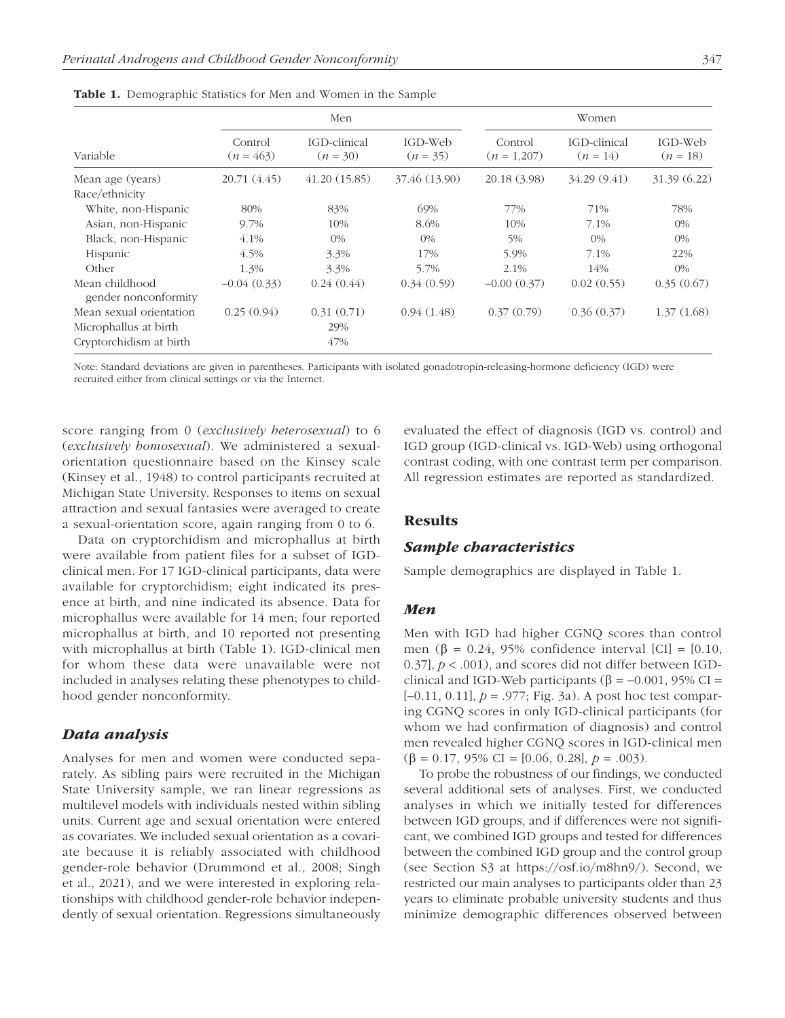| Variable                               | Men                    |                            |                       | Women                  |                            |                       |
|----------------------------------------|------------------------|----------------------------|-----------------------|------------------------|----------------------------|-----------------------|
|                                        | Control<br>$(n = 463)$ | IGD-clinical<br>$(n = 30)$ | IGD-Web<br>$(n = 35)$ | Control<br>$(n=1,207)$ | IGD-clinical<br>$(n = 14)$ | IGD-Web<br>$(n = 18)$ |
| Mean age (years)                       | 20.71 (4.45)           | 41.20(15.85)               | 37.46 (13.90)         | 20.18 (3.98)           | 34.29 (9.41)               | 31.39 (6.22)          |
| Race/ethnicity                         |                        |                            |                       |                        |                            |                       |
| White, non-Hispanic                    | 80%                    | 83%                        | 69%                   | 77%                    | 71%                        | 78%                   |
| Asian, non-Hispanic                    | 9.7%                   | 10%                        | 8.6%                  | 10%                    | 7.1%                       | $0\%$                 |
| Black, non-Hispanic                    | 4.1%                   | $0\%$                      | $0\%$                 | 5%                     | $0\%$                      | $0\%$                 |
| Hispanic                               | 4.5%                   | 3.3%                       | 17%                   | 5.9%                   | 7.1%                       | 22%                   |
| Other                                  | 1.3%                   | $3.3\%$                    | 5.7%                  | 2.1%                   | 14%                        | $0\%$                 |
| Mean childhood<br>gender nonconformity | $-0.04(0.33)$          | 0.24(0.44)                 | 0.34(0.59)            | $-0.00(0.37)$          | 0.02(0.55)                 | 0.35(0.67)            |
| Mean sexual orientation                | 0.25(0.94)             | 0.31(0.71)                 | 0.94(1.48)            | 0.37(0.79)             | 0.36(0.37)                 | 1.37(1.68)            |
| Microphallus at birth                  |                        | 29%                        |                       |                        |                            |                       |
| Cryptorchidism at birth                |                        | 47%                        |                       |                        |                            |                       |

Table 1. Demographic Statistics for Men and Women in the Sample

Note: Standard deviations are given in parentheses. Participants with isolated gonadotropin-releasing-hormone deficiency (IGD) were recruited either from clinical settings or via the Internet.

score ranging from 0 (*exclusively heterosexual*) to 6 (*exclusively homosexual*). We administered a sexualorientation questionnaire based on the Kinsey scale (Kinsey et al., 1948) to control participants recruited at Michigan State University. Responses to items on sexual attraction and sexual fantasies were averaged to create a sexual-orientation score, again ranging from 0 to 6.

Data on cryptorchidism and microphallus at birth were available from patient files for a subset of IGDclinical men. For 17 IGD-clinical participants, data were available for cryptorchidism; eight indicated its presence at birth, and nine indicated its absence. Data for microphallus were available for 14 men; four reported microphallus at birth, and 10 reported not presenting with microphallus at birth (Table 1). IGD-clinical men for whom these data were unavailable were not included in analyses relating these phenotypes to childhood gender nonconformity.

## *Data analysis*

Analyses for men and women were conducted separately. As sibling pairs were recruited in the Michigan State University sample, we ran linear regressions as multilevel models with individuals nested within sibling units. Current age and sexual orientation were entered as covariates. We included sexual orientation as a covariate because it is reliably associated with childhood gender-role behavior (Drummond et al., 2008; Singh et al., 2021), and we were interested in exploring relationships with childhood gender-role behavior independently of sexual orientation. Regressions simultaneously evaluated the effect of diagnosis (IGD vs. control) and IGD group (IGD-clinical vs. IGD-Web) using orthogonal contrast coding, with one contrast term per comparison. All regression estimates are reported as standardized.

# **Results**

## *Sample characteristics*

Sample demographics are displayed in Table 1.

#### *Men*

Men with IGD had higher CGNQ scores than control men (β = 0.24, 95% confidence interval [CI] = [0.10, 0.37], *p* < .001), and scores did not differ between IGDclinical and IGD-Web participants ( $\beta$  = −0.001, 95% CI = [–0.11, 0.11], *p* = .977; Fig. 3a). A post hoc test comparing CGNQ scores in only IGD-clinical participants (for whom we had confirmation of diagnosis) and control men revealed higher CGNQ scores in IGD-clinical men ( $\beta = 0.17, 95\% \text{ CI} = [0.06, 0.28], p = .003$ ).

To probe the robustness of our findings, we conducted several additional sets of analyses. First, we conducted analyses in which we initially tested for differences between IGD groups, and if differences were not significant, we combined IGD groups and tested for differences between the combined IGD group and the control group (see Section S3 at [ht](https://osf.io/a9mhb/)tps://osf.io/m8hn9/). Second, we restricted our main analyses to participants older than 23 years to eliminate probable university students and thus minimize demographic differences observed between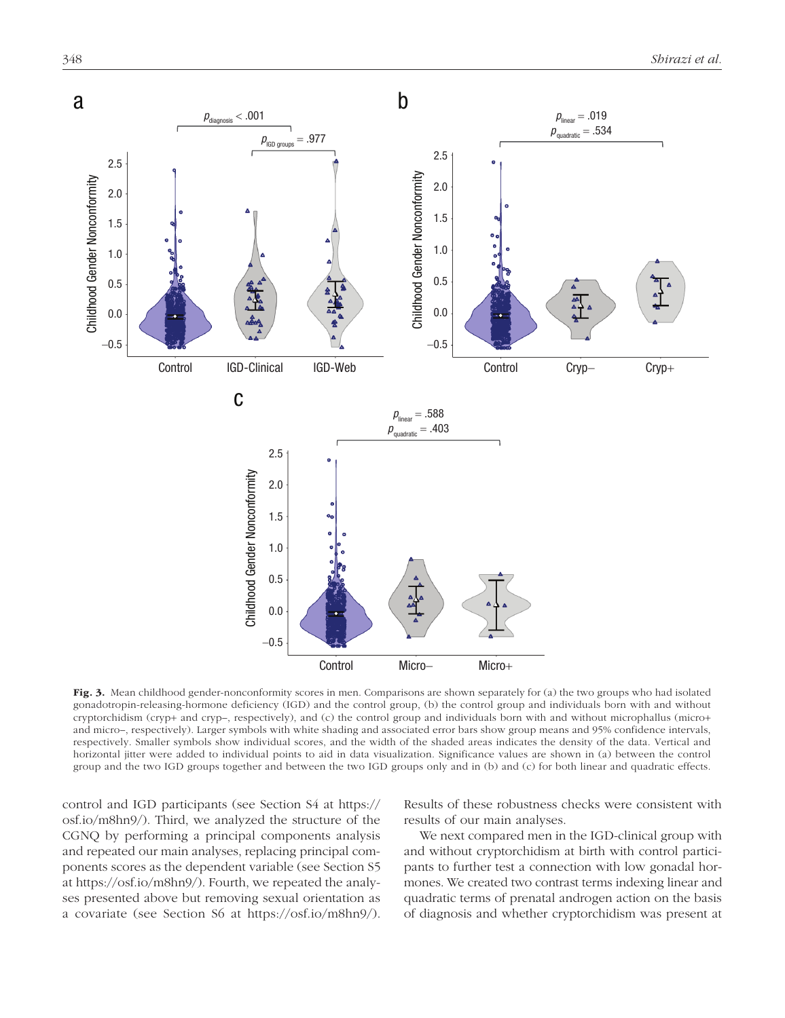

Fig. 3. Mean childhood gender-nonconformity scores in men. Comparisons are shown separately for (a) the two groups who had isolated gonadotropin-releasing-hormone deficiency (IGD) and the control group, (b) the control group and individuals born with and without cryptorchidism (cryp+ and cryp–, respectively), and (c) the control group and individuals born with and without microphallus (micro+ and micro–, respectively). Larger symbols with white shading and associated error bars show group means and 95% confidence intervals, respectively. Smaller symbols show individual scores, and the width of the shaded areas indicates the density of the data. Vertical and horizontal jitter were added to individual points to aid in data visualization. Significance values are shown in (a) between the control group and the two IGD groups together and between the two IGD groups only and in (b) and (c) for both linear and quadratic effects.

control and IGD participants (see Section S4 at [ht](https://osf.io/a9mhb/)tps:// osf.io/m8hn9/). Third, we analyzed the structure of the CGNQ by performing a principal components analysis and repeated our main analyses, replacing principal components scores as the dependent variable (see Section S5 at [h](https://osf.io/a9mhb/)ttps://osf.io/m8hn9/). Fourth, we repeated the analyses presented above but removing sexual orientation as a covariate (see Section S6 at [h](https://osf.io/a9mhb/)ttps://osf.io/m8hn9/). Results of these robustness checks were consistent with results of our main analyses.

We next compared men in the IGD-clinical group with and without cryptorchidism at birth with control participants to further test a connection with low gonadal hormones. We created two contrast terms indexing linear and quadratic terms of prenatal androgen action on the basis of diagnosis and whether cryptorchidism was present at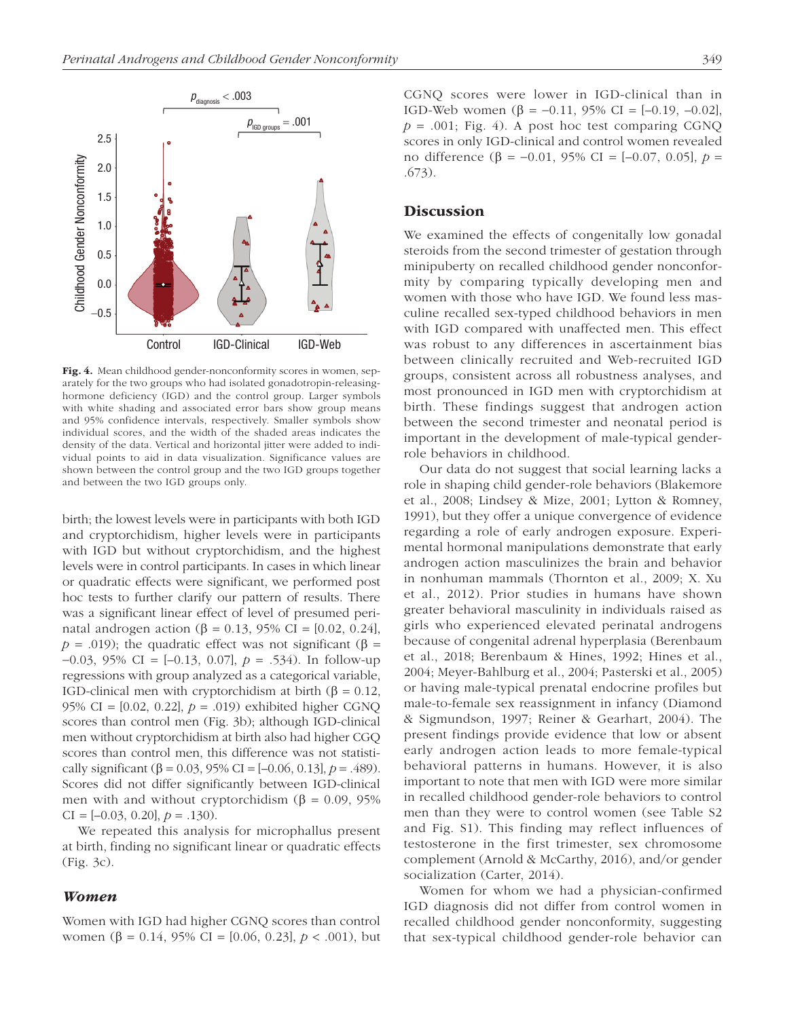

Fig. 4. Mean childhood gender-nonconformity scores in women, separately for the two groups who had isolated gonadotropin-releasinghormone deficiency (IGD) and the control group. Larger symbols with white shading and associated error bars show group means and 95% confidence intervals, respectively. Smaller symbols show individual scores, and the width of the shaded areas indicates the density of the data. Vertical and horizontal jitter were added to individual points to aid in data visualization. Significance values are shown between the control group and the two IGD groups together and between the two IGD groups only.

birth; the lowest levels were in participants with both IGD and cryptorchidism, higher levels were in participants with IGD but without cryptorchidism, and the highest levels were in control participants. In cases in which linear or quadratic effects were significant, we performed post hoc tests to further clarify our pattern of results. There was a significant linear effect of level of presumed perinatal androgen action (β = 0.13, 95% CI = [0.02, 0.24], *; the quadratic effect was not significant (β =* −0.03, 95% CI = [–0.13, 0.07], *p* = .534). In follow-up regressions with group analyzed as a categorical variable, IGD-clinical men with cryptorchidism at birth (β = 0.12, 95% CI = [0.02, 0.22], *p* = .019) exhibited higher CGNQ scores than control men (Fig. 3b); although IGD-clinical men without cryptorchidism at birth also had higher CGQ scores than control men, this difference was not statistically significant (β = 0.03, 95% CI =  $[-0.06, 0.13]$ , *p* = .489). Scores did not differ significantly between IGD-clinical men with and without cryptorchidism ( $\beta = 0.09, 95\%$ CI =  $[-0.03, 0.20], p = .130$ .

We repeated this analysis for microphallus present at birth, finding no significant linear or quadratic effects (Fig. 3c).

### *Women*

Women with IGD had higher CGNQ scores than control women (β = 0.14, 95% CI = [0.06, 0.23], *p* < .001), but CGNQ scores were lower in IGD-clinical than in IGD-Web women (β = -0.11, 95% CI =  $[-0.19, -0.02]$ ,  $p = .001$ ; Fig. 4). A post hoc test comparing CGNQ scores in only IGD-clinical and control women revealed no difference (β = −0.01, 95% CI = [–0.07, 0.05], *p* = .673).

## **Discussion**

We examined the effects of congenitally low gonadal steroids from the second trimester of gestation through minipuberty on recalled childhood gender nonconformity by comparing typically developing men and women with those who have IGD. We found less masculine recalled sex-typed childhood behaviors in men with IGD compared with unaffected men. This effect was robust to any differences in ascertainment bias between clinically recruited and Web-recruited IGD groups, consistent across all robustness analyses, and most pronounced in IGD men with cryptorchidism at birth. These findings suggest that androgen action between the second trimester and neonatal period is important in the development of male-typical genderrole behaviors in childhood.

Our data do not suggest that social learning lacks a role in shaping child gender-role behaviors (Blakemore et al., 2008; Lindsey & Mize, 2001; Lytton & Romney, 1991), but they offer a unique convergence of evidence regarding a role of early androgen exposure. Experimental hormonal manipulations demonstrate that early androgen action masculinizes the brain and behavior in nonhuman mammals (Thornton et al., 2009; X. Xu et al., 2012). Prior studies in humans have shown greater behavioral masculinity in individuals raised as girls who experienced elevated perinatal androgens because of congenital adrenal hyperplasia (Berenbaum et al., 2018; Berenbaum & Hines, 1992; Hines et al., 2004; Meyer-Bahlburg et al., 2004; Pasterski et al., 2005) or having male-typical prenatal endocrine profiles but male-to-female sex reassignment in infancy (Diamond & Sigmundson, 1997; Reiner & Gearhart, 2004). The present findings provide evidence that low or absent early androgen action leads to more female-typical behavioral patterns in humans. However, it is also important to note that men with IGD were more similar in recalled childhood gender-role behaviors to control men than they were to control women (see Table S2 and Fig. S1). This finding may reflect influences of testosterone in the first trimester, sex chromosome complement (Arnold & McCarthy, 2016), and/or gender socialization (Carter, 2014).

Women for whom we had a physician-confirmed IGD diagnosis did not differ from control women in recalled childhood gender nonconformity, suggesting that sex-typical childhood gender-role behavior can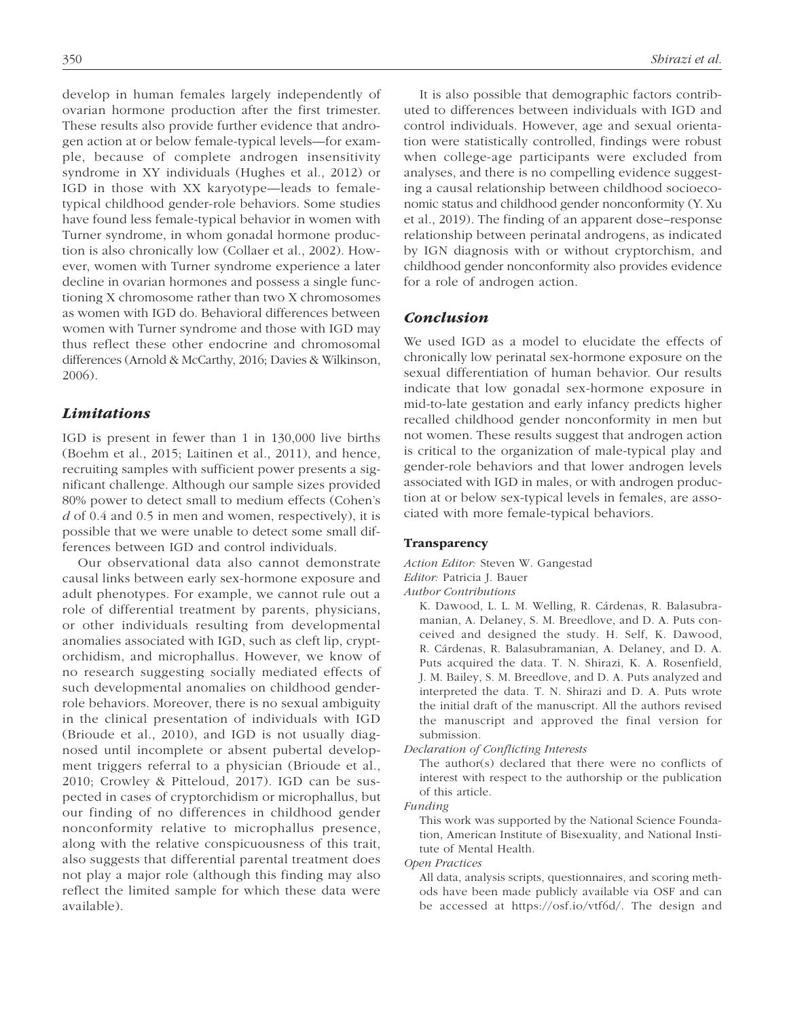develop in human females largely independently of ovarian hormone production after the first trimester. These results also provide further evidence that androgen action at or below female-typical levels—for example, because of complete androgen insensitivity syndrome in XY individuals (Hughes et al., 2012) or IGD in those with XX karyotype—leads to femaletypical childhood gender-role behaviors. Some studies have found less female-typical behavior in women with Turner syndrome, in whom gonadal hormone production is also chronically low (Collaer et al., 2002). However, women with Turner syndrome experience a later decline in ovarian hormones and possess a single functioning X chromosome rather than two X chromosomes as women with IGD do. Behavioral differences between women with Turner syndrome and those with IGD may thus reflect these other endocrine and chromosomal differences (Arnold & McCarthy, 2016; Davies & Wilkinson, 2006).

## *Limitations*

IGD is present in fewer than 1 in 130,000 live births (Boehm et al., 2015; Laitinen et al., 2011), and hence, recruiting samples with sufficient power presents a significant challenge. Although our sample sizes provided 80% power to detect small to medium effects (Cohen's *d* of 0.4 and 0.5 in men and women, respectively), it is possible that we were unable to detect some small differences between IGD and control individuals.

Our observational data also cannot demonstrate causal links between early sex-hormone exposure and adult phenotypes. For example, we cannot rule out a role of differential treatment by parents, physicians, or other individuals resulting from developmental anomalies associated with IGD, such as cleft lip, cryptorchidism, and microphallus. However, we know of no research suggesting socially mediated effects of such developmental anomalies on childhood genderrole behaviors. Moreover, there is no sexual ambiguity in the clinical presentation of individuals with IGD (Brioude et al., 2010), and IGD is not usually diagnosed until incomplete or absent pubertal development triggers referral to a physician (Brioude et al., 2010; Crowley & Pitteloud, 2017). IGD can be suspected in cases of cryptorchidism or microphallus, but our finding of no differences in childhood gender nonconformity relative to microphallus presence, along with the relative conspicuousness of this trait, also suggests that differential parental treatment does not play a major role (although this finding may also reflect the limited sample for which these data were available).

It is also possible that demographic factors contributed to differences between individuals with IGD and control individuals. However, age and sexual orientation were statistically controlled, findings were robust when college-age participants were excluded from analyses, and there is no compelling evidence suggesting a causal relationship between childhood socioeconomic status and childhood gender nonconformity (Y. Xu et al., 2019). The finding of an apparent dose–response relationship between perinatal androgens, as indicated by IGN diagnosis with or without cryptorchism, and childhood gender nonconformity also provides evidence for a role of androgen action.

## *Conclusion*

We used IGD as a model to elucidate the effects of chronically low perinatal sex-hormone exposure on the sexual differentiation of human behavior. Our results indicate that low gonadal sex-hormone exposure in mid-to-late gestation and early infancy predicts higher recalled childhood gender nonconformity in men but not women. These results suggest that androgen action is critical to the organization of male-typical play and gender-role behaviors and that lower androgen levels associated with IGD in males, or with androgen production at or below sex-typical levels in females, are associated with more female-typical behaviors.

#### Transparency

*Action Editor:* Steven W. Gangestad *Editor:* Patricia J. Bauer

*Author Contributions*

K. Dawood, L. L. M. Welling, R. Cárdenas, R. Balasubramanian, A. Delaney, S. M. Breedlove, and D. A. Puts conceived and designed the study. H. Self, K. Dawood, R. Cárdenas, R. Balasubramanian, A. Delaney, and D. A. Puts acquired the data. T. N. Shirazi, K. A. Rosenfield, J. M. Bailey, S. M. Breedlove, and D. A. Puts analyzed and interpreted the data. T. N. Shirazi and D. A. Puts wrote the initial draft of the manuscript. All the authors revised the manuscript and approved the final version for submission.

*Declaration of Conflicting Interests*

The author(s) declared that there were no conflicts of interest with respect to the authorship or the publication of this article.

*Funding*

This work was supported by the National Science Foundation, American Institute of Bisexuality, and National Institute of Mental Health.

*Open Practices*

All data, analysis scripts, questionnaires, and scoring methods have been made publicly available via OSF and can be accessed at [https://osf.io/vtf6d/.](https://osf.io/vtf6d/) The design and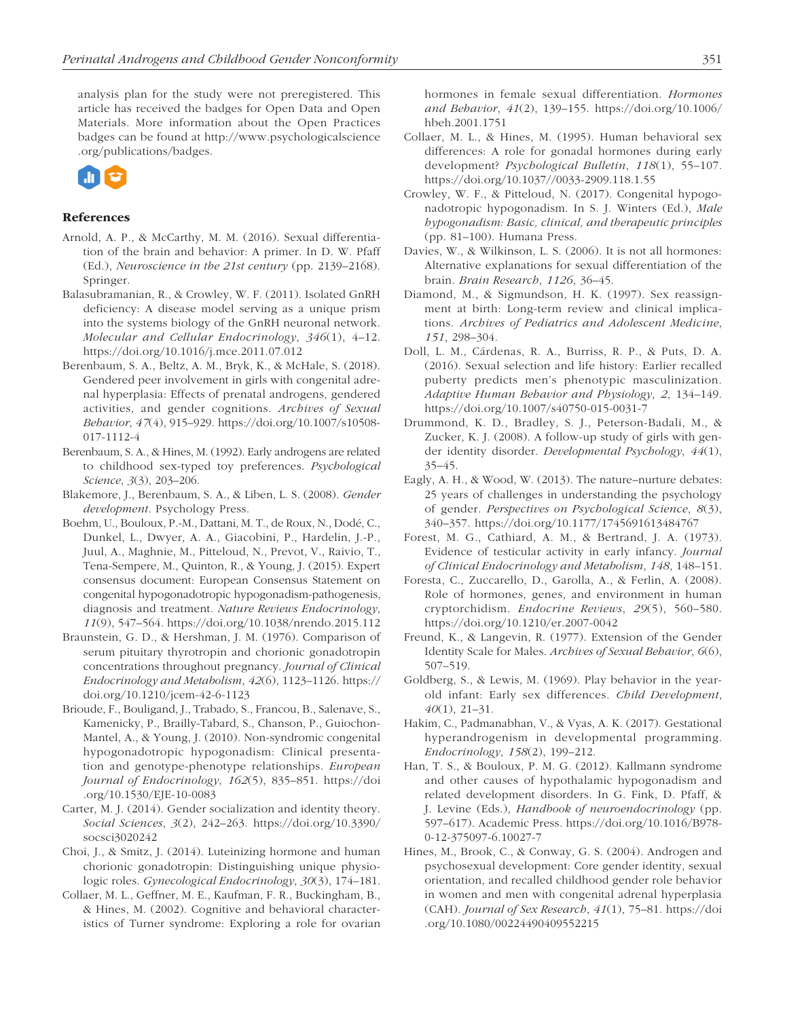analysis plan for the study were not preregistered. This article has received the badges for Open Data and Open Materials. More information about the Open Practices badges can be found at [http://www.psychologicalscience](http://www.psychologicalscience.org/publications/badges) [.org/publications/badges](http://www.psychologicalscience.org/publications/badges).



## References

- Arnold, A. P., & McCarthy, M. M. (2016). Sexual differentiation of the brain and behavior: A primer. In D. W. Pfaff (Ed.), *Neuroscience in the 21st century* (pp. 2139–2168). Springer.
- Balasubramanian, R., & Crowley, W. F. (2011). Isolated GnRH deficiency: A disease model serving as a unique prism into the systems biology of the GnRH neuronal network. *Molecular and Cellular Endocrinology*, *346*(1), 4–12. <https://doi.org/10.1016/j.mce.2011.07.012>
- Berenbaum, S. A., Beltz, A. M., Bryk, K., & McHale, S. (2018). Gendered peer involvement in girls with congenital adrenal hyperplasia: Effects of prenatal androgens, gendered activities, and gender cognitions. *Archives of Sexual Behavior*, *47*(4), 915–929. [https://doi.org/10.1007/s10508-](https://doi.org/10.1007/s10508-017-1112-4) [017-1112-4](https://doi.org/10.1007/s10508-017-1112-4)
- Berenbaum, S. A., & Hines, M. (1992). Early androgens are related to childhood sex-typed toy preferences. *Psychological Science*, *3*(3), 203–206.
- Blakemore, J., Berenbaum, S. A., & Liben, L. S. (2008). *Gender development*. Psychology Press.
- Boehm, U., Bouloux, P.-M., Dattani, M. T., de Roux, N., Dodé, C., Dunkel, L., Dwyer, A. A., Giacobini, P., Hardelin, J.-P., Juul, A., Maghnie, M., Pitteloud, N., Prevot, V., Raivio, T., Tena-Sempere, M., Quinton, R., & Young, J. (2015). Expert consensus document: European Consensus Statement on congenital hypogonadotropic hypogonadism-pathogenesis, diagnosis and treatment. *Nature Reviews Endocrinology*, *11*(9), 547–564. <https://doi.org/10.1038/nrendo.2015.112>
- Braunstein, G. D., & Hershman, J. M. (1976). Comparison of serum pituitary thyrotropin and chorionic gonadotropin concentrations throughout pregnancy. *Journal of Clinical Endocrinology and Metabolism*, *42*(6), 1123–1126. [https://](https://doi.org/10.1210/jcem-42-6-1123) [doi.org/10.1210/jcem-42-6-1123](https://doi.org/10.1210/jcem-42-6-1123)
- Brioude, F., Bouligand, J., Trabado, S., Francou, B., Salenave, S., Kamenicky, P., Brailly-Tabard, S., Chanson, P., Guiochon-Mantel, A., & Young, J. (2010). Non-syndromic congenital hypogonadotropic hypogonadism: Clinical presentation and genotype-phenotype relationships. *European Journal of Endocrinology*, *162*(5), 835–851. [https://doi](https://doi.org/10.1530/EJE-10-0083) [.org/10.1530/EJE-10-0083](https://doi.org/10.1530/EJE-10-0083)
- Carter, M. J. (2014). Gender socialization and identity theory. *Social Sciences*, *3*(2), 242–263. [https://doi.org/10.3390/](https://doi.org/10.3390/socsci3020242) [socsci3020242](https://doi.org/10.3390/socsci3020242)
- Choi, J., & Smitz, J. (2014). Luteinizing hormone and human chorionic gonadotropin: Distinguishing unique physiologic roles. *Gynecological Endocrinology*, *30*(3), 174–181.
- Collaer, M. L., Geffner, M. E., Kaufman, F. R., Buckingham, B., & Hines, M. (2002). Cognitive and behavioral characteristics of Turner syndrome: Exploring a role for ovarian

hormones in female sexual differentiation. *Hormones and Behavior*, *41*(2), 139–155. [https://doi.org/10.1006/](https://doi.org/10.1006/hbeh.2001.1751) [hbeh.2001.1751](https://doi.org/10.1006/hbeh.2001.1751)

- Collaer, M. L., & Hines, M. (1995). Human behavioral sex differences: A role for gonadal hormones during early development? *Psychological Bulletin*, *118*(1), 55–107. <https://doi.org/10.1037//0033-2909.118.1.55>
- Crowley, W. F., & Pitteloud, N. (2017). Congenital hypogonadotropic hypogonadism. In S. J. Winters (Ed.), *Male hypogonadism: Basic, clinical, and therapeutic principles* (pp. 81–100). Humana Press.
- Davies, W., & Wilkinson, L. S. (2006). It is not all hormones: Alternative explanations for sexual differentiation of the brain. *Brain Research*, *1126*, 36–45.
- Diamond, M., & Sigmundson, H. K. (1997). Sex reassignment at birth: Long-term review and clinical implications. *Archives of Pediatrics and Adolescent Medicine*, *151*, 298–304.
- Doll, L. M., Cárdenas, R. A., Burriss, R. P., & Puts, D. A. (2016). Sexual selection and life history: Earlier recalled puberty predicts men's phenotypic masculinization. *Adaptive Human Behavior and Physiology*, *2*, 134–149. <https://doi.org/10.1007/s40750-015-0031-7>
- Drummond, K. D., Bradley, S. J., Peterson-Badali, M., & Zucker, K. J. (2008). A follow-up study of girls with gender identity disorder. *Developmental Psychology*, *44*(1), 35–45.
- Eagly, A. H., & Wood, W. (2013). The nature–nurture debates: 25 years of challenges in understanding the psychology of gender. *Perspectives on Psychological Science*, *8*(3), 340–357. <https://doi.org/10.1177/1745691613484767>
- Forest, M. G., Cathiard, A. M., & Bertrand, J. A. (1973). Evidence of testicular activity in early infancy. *Journal of Clinical Endocrinology and Metabolism*, *148*, 148–151.
- Foresta, C., Zuccarello, D., Garolla, A., & Ferlin, A. (2008). Role of hormones, genes, and environment in human cryptorchidism. *Endocrine Reviews*, *29*(5), 560–580. <https://doi.org/10.1210/er.2007-0042>
- Freund, K., & Langevin, R. (1977). Extension of the Gender Identity Scale for Males. *Archives of Sexual Behavior*, *6*(6), 507–519.
- Goldberg, S., & Lewis, M. (1969). Play behavior in the yearold infant: Early sex differences. *Child Development*, *40*(1), 21–31.
- Hakim, C., Padmanabhan, V., & Vyas, A. K. (2017). Gestational hyperandrogenism in developmental programming. *Endocrinology*, *158*(2), 199–212.
- Han, T. S., & Bouloux, P. M. G. (2012). Kallmann syndrome and other causes of hypothalamic hypogonadism and related development disorders. In G. Fink, D. Pfaff, & J. Levine (Eds.), *Handbook of neuroendocrinology* (pp. 597–617). Academic Press. [https://doi.org/10.1016/B978-](https://doi.org/10.1016/B978-0-12-375097-6.10027-7) [0-12-375097-6.10027-7](https://doi.org/10.1016/B978-0-12-375097-6.10027-7)
- Hines, M., Brook, C., & Conway, G. S. (2004). Androgen and psychosexual development: Core gender identity, sexual orientation, and recalled childhood gender role behavior in women and men with congenital adrenal hyperplasia (CAH). *Journal of Sex Research*, *41*(1), 75–81. [https://doi](https://doi.org/10.1080/00224490409552215) [.org/10.1080/00224490409552215](https://doi.org/10.1080/00224490409552215)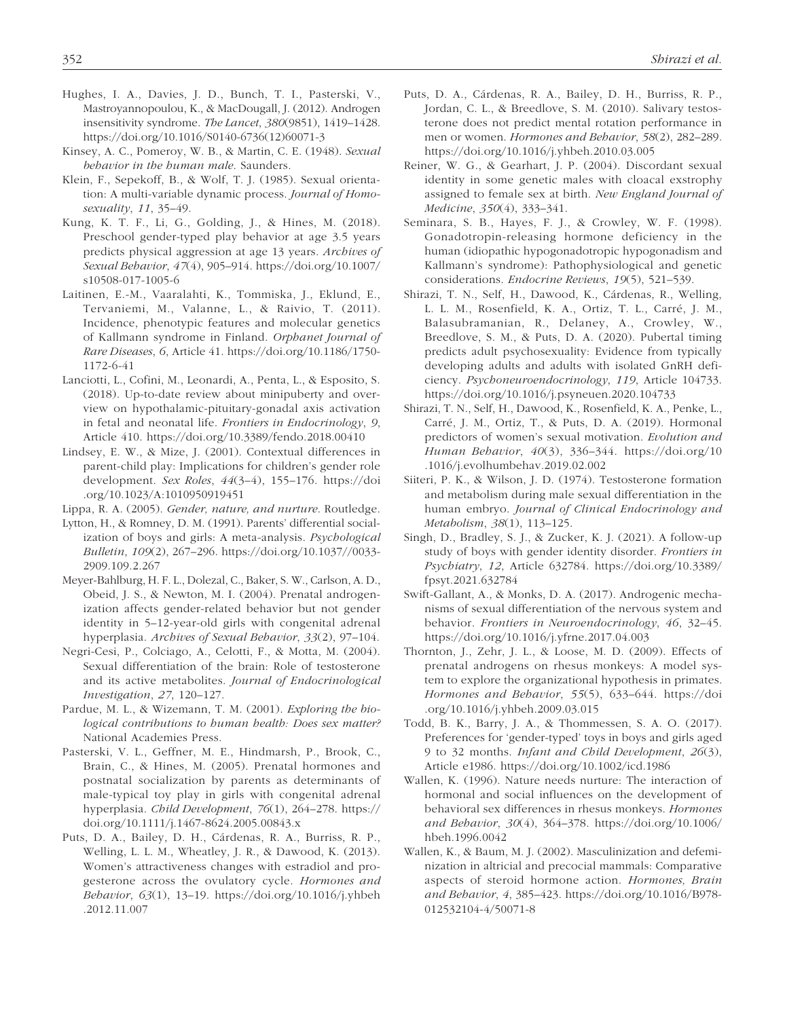- Hughes, I. A., Davies, J. D., Bunch, T. I., Pasterski, V., Mastroyannopoulou, K., & MacDougall, J. (2012). Androgen insensitivity syndrome. *The Lancet*, *380*(9851), 1419–1428. [https://doi.org/10.1016/S0140-6736\(12\)60071-3](https://doi.org/10.1016/S0140-6736(12)60071-3)
- Kinsey, A. C., Pomeroy, W. B., & Martin, C. E. (1948). *Sexual behavior in the human male*. Saunders.
- Klein, F., Sepekoff, B., & Wolf, T. J. (1985). Sexual orientation: A multi-variable dynamic process. *Journal of Homosexuality*, *11*, 35–49.
- Kung, K. T. F., Li, G., Golding, J., & Hines, M. (2018). Preschool gender-typed play behavior at age 3.5 years predicts physical aggression at age 13 years. *Archives of Sexual Behavior*, *47*(4), 905–914. [https://doi.org/10.1007/](https://doi.org/10.1007/s10508-017-1005-6) [s10508-017-1005-6](https://doi.org/10.1007/s10508-017-1005-6)
- Laitinen, E.-M., Vaaralahti, K., Tommiska, J., Eklund, E., Tervaniemi, M., Valanne, L., & Raivio, T. (2011). Incidence, phenotypic features and molecular genetics of Kallmann syndrome in Finland. *Orphanet Journal of Rare Diseases*, *6*, Article 41. [https://doi.org/10.1186/1750-](https://doi.org/10.1186/1750-1172-6-41) [1172-6-41](https://doi.org/10.1186/1750-1172-6-41)
- Lanciotti, L., Cofini, M., Leonardi, A., Penta, L., & Esposito, S. (2018). Up-to-date review about minipuberty and overview on hypothalamic-pituitary-gonadal axis activation in fetal and neonatal life. *Frontiers in Endocrinology*, *9*, Article 410. <https://doi.org/10.3389/fendo.2018.00410>
- Lindsey, E. W., & Mize, J. (2001). Contextual differences in parent-child play: Implications for children's gender role development. *Sex Roles*, *44*(3–4), 155–176. [https://doi](https://doi.org/10.1023/A:1010950919451) [.org/10.1023/A:1010950919451](https://doi.org/10.1023/A:1010950919451)
- Lippa, R. A. (2005). *Gender, nature, and nurture*. Routledge.
- Lytton, H., & Romney, D. M. (1991). Parents' differential socialization of boys and girls: A meta-analysis. *Psychological Bulletin*, *109*(2), 267–296. [https://doi.org/10.1037//0033-](https://doi.org/10.1037//0033-2909.109.2.267) [2909.109.2.267](https://doi.org/10.1037//0033-2909.109.2.267)
- Meyer-Bahlburg, H. F. L., Dolezal, C., Baker, S. W., Carlson, A. D., Obeid, J. S., & Newton, M. I. (2004). Prenatal androgenization affects gender-related behavior but not gender identity in 5–12-year-old girls with congenital adrenal hyperplasia. *Archives of Sexual Behavior*, *33*(2), 97–104.
- Negri-Cesi, P., Colciago, A., Celotti, F., & Motta, M. (2004). Sexual differentiation of the brain: Role of testosterone and its active metabolites. *Journal of Endocrinological Investigation*, *27*, 120–127.
- Pardue, M. L., & Wizemann, T. M. (2001). *Exploring the biological contributions to human health: Does sex matter?* National Academies Press.
- Pasterski, V. L., Geffner, M. E., Hindmarsh, P., Brook, C., Brain, C., & Hines, M. (2005). Prenatal hormones and postnatal socialization by parents as determinants of male-typical toy play in girls with congenital adrenal hyperplasia. *Child Development*, *76*(1), 264–278. [https://](https://doi.org/10.1111/j.1467-8624.2005.00843.x) [doi.org/10.1111/j.1467-8624.2005.00843.x](https://doi.org/10.1111/j.1467-8624.2005.00843.x)
- Puts, D. A., Bailey, D. H., Cárdenas, R. A., Burriss, R. P., Welling, L. L. M., Wheatley, J. R., & Dawood, K. (2013). Women's attractiveness changes with estradiol and progesterone across the ovulatory cycle. *Hormones and Behavior*, *63*(1), 13–19. [https://doi.org/10.1016/j.yhbeh](https://doi.org/10.1016/j.yhbeh.2012.11.007) [.2012.11.007](https://doi.org/10.1016/j.yhbeh.2012.11.007)
- Puts, D. A., Cárdenas, R. A., Bailey, D. H., Burriss, R. P., Jordan, C. L., & Breedlove, S. M. (2010). Salivary testosterone does not predict mental rotation performance in men or women. *Hormones and Behavior*, *58*(2), 282–289. <https://doi.org/10.1016/j.yhbeh.2010.03.005>
- Reiner, W. G., & Gearhart, J. P. (2004). Discordant sexual identity in some genetic males with cloacal exstrophy assigned to female sex at birth. *New England Journal of Medicine*, *350*(4), 333–341.
- Seminara, S. B., Hayes, F. J., & Crowley, W. F. (1998). Gonadotropin-releasing hormone deficiency in the human (idiopathic hypogonadotropic hypogonadism and Kallmann's syndrome): Pathophysiological and genetic considerations. *Endocrine Reviews*, *19*(5), 521–539.
- Shirazi, T. N., Self, H., Dawood, K., Cárdenas, R., Welling, L. L. M., Rosenfield, K. A., Ortiz, T. L., Carré, J. M., Balasubramanian, R., Delaney, A., Crowley, W., Breedlove, S. M., & Puts, D. A. (2020). Pubertal timing predicts adult psychosexuality: Evidence from typically developing adults and adults with isolated GnRH deficiency. *Psychoneuroendocrinology*, *119*, Article 104733. <https://doi.org/10.1016/j.psyneuen.2020.104733>
- Shirazi, T. N., Self, H., Dawood, K., Rosenfield, K. A., Penke, L., Carré, J. M., Ortiz, T., & Puts, D. A. (2019). Hormonal predictors of women's sexual motivation. *Evolution and Human Behavior*, *40*(3), 336–344. [https://doi.org/10](https://doi.org/10.1016/j.evolhumbehav.2019.02.002) [.1016/j.evolhumbehav.2019.02.002](https://doi.org/10.1016/j.evolhumbehav.2019.02.002)
- Siiteri, P. K., & Wilson, J. D. (1974). Testosterone formation and metabolism during male sexual differentiation in the human embryo. *Journal of Clinical Endocrinology and Metabolism*, *38*(1), 113–125.
- Singh, D., Bradley, S. J., & Zucker, K. J. (2021). A follow-up study of boys with gender identity disorder. *Frontiers in Psychiatry*, *12*, Article 632784. [https://doi.org/10.3389/](https://doi.org/10.3389/fpsyt.2021.632784) [fpsyt.2021.632784](https://doi.org/10.3389/fpsyt.2021.632784)
- Swift-Gallant, A., & Monks, D. A. (2017). Androgenic mechanisms of sexual differentiation of the nervous system and behavior. *Frontiers in Neuroendocrinology*, *46*, 32–45. <https://doi.org/10.1016/j.yfrne.2017.04.003>
- Thornton, J., Zehr, J. L., & Loose, M. D. (2009). Effects of prenatal androgens on rhesus monkeys: A model system to explore the organizational hypothesis in primates. *Hormones and Behavior*, *55*(5), 633–644. [https://doi](https://doi.org/10.1016/j.yhbeh.2009.03.015) [.org/10.1016/j.yhbeh.2009.03.015](https://doi.org/10.1016/j.yhbeh.2009.03.015)
- Todd, B. K., Barry, J. A., & Thommessen, S. A. O. (2017). Preferences for 'gender-typed' toys in boys and girls aged 9 to 32 months. *Infant and Child Development*, *26*(3), Article e1986. <https://doi.org/10.1002/icd.1986>
- Wallen, K. (1996). Nature needs nurture: The interaction of hormonal and social influences on the development of behavioral sex differences in rhesus monkeys. *Hormones and Behavior*, *30*(4), 364–378. [https://doi.org/10.1006/](https://doi.org/10.1006/hbeh.1996.0042) [hbeh.1996.0042](https://doi.org/10.1006/hbeh.1996.0042)
- Wallen, K., & Baum, M. J. (2002). Masculinization and defeminization in altricial and precocial mammals: Comparative aspects of steroid hormone action. *Hormones, Brain and Behavior*, *4*, 385–423. [https://doi.org/10.1016/B978-](https://doi.org/10.1016/B978-012532104-4/50071-8) [012532104-4/50071-8](https://doi.org/10.1016/B978-012532104-4/50071-8)